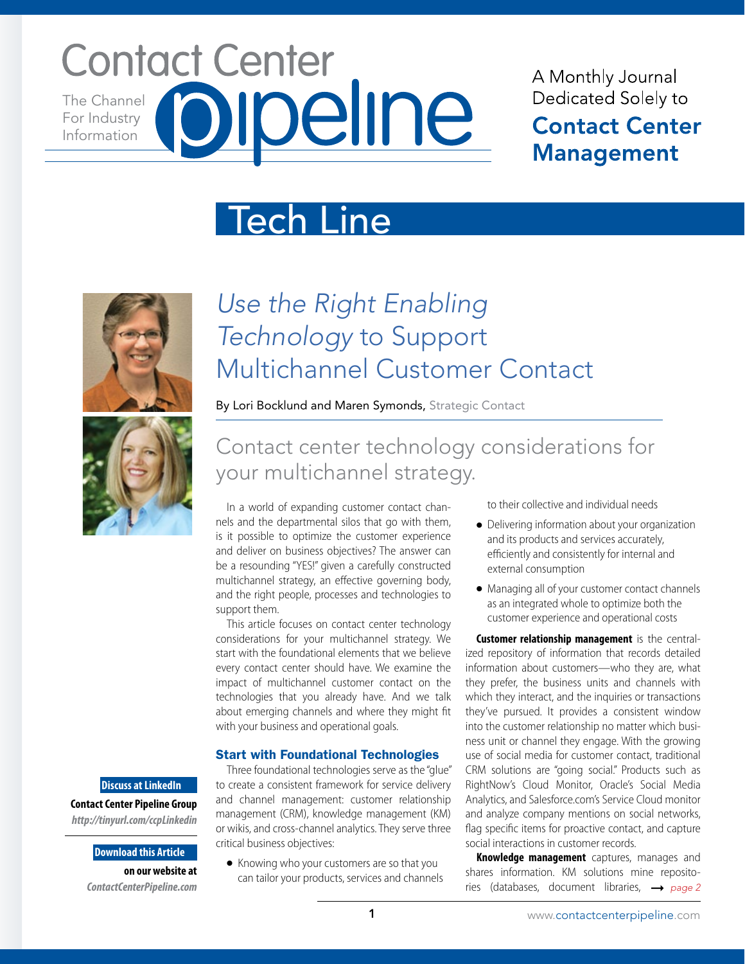# **Contact Center** The Channel For Industry Information

## A Monthly Journal Dedicated Solely to **Contact Center Management**

# Tech Line



# *Use the Right Enabling Technology* to Support Multichannel Customer Contact

By Lori Bocklund and Maren Symonds, Strategic Contact

## Contact center technology considerations for your multichannel strategy.

In a world of expanding customer contact channels and the departmental silos that go with them, is it possible to optimize the customer experience and deliver on business objectives? The answer can be a resounding "YES!" given a carefully constructed multichannel strategy, an effective governing body, and the right people, processes and technologies to support them.

This article focuses on contact center technology considerations for your multichannel strategy. We start with the foundational elements that we believe every contact center should have. We examine the impact of multichannel customer contact on the technologies that you already have. And we talk about emerging channels and where they might fit with your business and operational goals.

## Start with Foundational Technologies

**Discuss at LinkedIn**

**Contact Center Pipeline Group**  *http://tinyurl.com/ccpLinkedin*

> **Download this Article on our website at**  *ContactCenterPipeline.com*

Three foundational technologies serve as the "glue" to create a consistent framework for service delivery and channel management: customer relationship management (CRM), knowledge management (KM) or wikis, and cross-channel analytics. They serve three critical business objectives:

● Knowing who your customers are so that you can tailor your products, services and channels to their collective and individual needs

- Delivering information about your organization and its products and services accurately, efficiently and consistently for internal and external consumption
- Managing all of your customer contact channels as an integrated whole to optimize both the customer experience and operational costs

**Customer relationship management** is the centralized repository of information that records detailed information about customers—who they are, what they prefer, the business units and channels with which they interact, and the inquiries or transactions they've pursued. It provides a consistent window into the customer relationship no matter which business unit or channel they engage. With the growing use of social media for customer contact, traditional CRM solutions are "going social." Products such as RightNow's Cloud Monitor, Oracle's Social Media Analytics, and Salesforce.com's Service Cloud monitor and analyze company mentions on social networks, flag specific items for proactive contact, and capture social interactions in customer records.

**Knowledge management** captures, manages and shares information. KM solutions mine repositories (databases, document libraries, *page 2*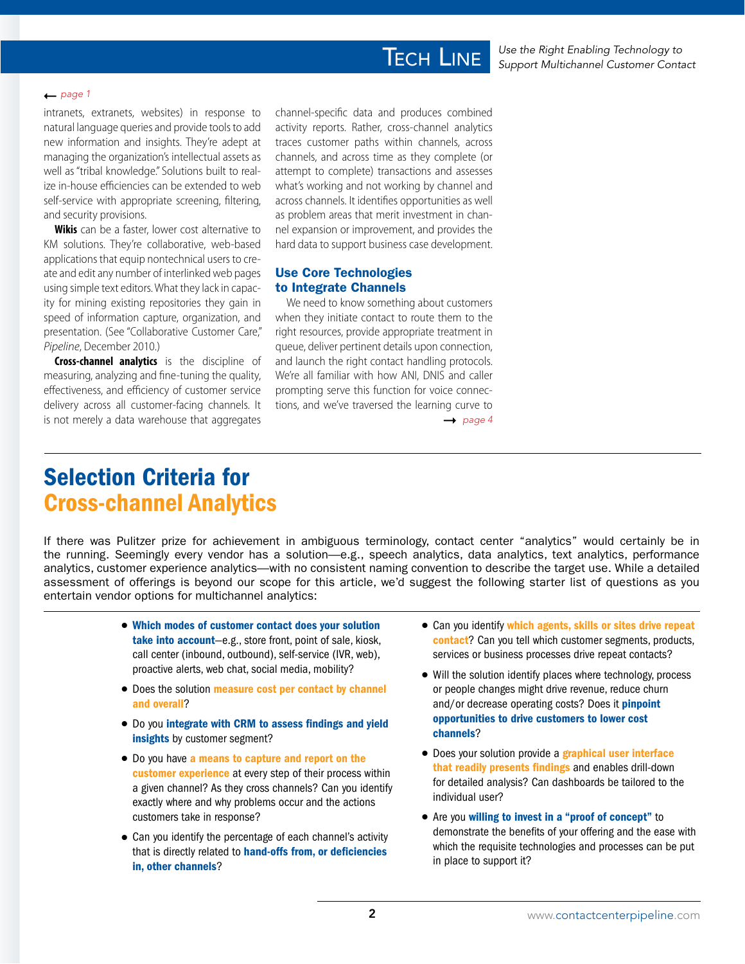## **TECH LINE**

#### $\rightharpoonup$  page 1

intranets, extranets, websites) in response to natural language queries and provide tools to add new information and insights. They're adept at managing the organization's intellectual assets as well as "tribal knowledge." Solutions built to realize in-house efficiencies can be extended to web self-service with appropriate screening, filtering, and security provisions.

**Wikis** can be a faster, lower cost alternative to KM solutions. They're collaborative, web-based applications that equip nontechnical users to create and edit any number of interlinked web pages using simple text editors. What they lack in capacity for mining existing repositories they gain in speed of information capture, organization, and presentation. (See "Collaborative Customer Care," *Pipeline*, December 2010.)

**Cross-channel analytics** is the discipline of measuring, analyzing and fine-tuning the quality, effectiveness, and efficiency of customer service delivery across all customer-facing channels. It is not merely a data warehouse that aggregates

channel-specific data and produces combined activity reports. Rather, cross-channel analytics traces customer paths within channels, across channels, and across time as they complete (or attempt to complete) transactions and assesses what's working and not working by channel and across channels. It identifies opportunities as well as problem areas that merit investment in channel expansion or improvement, and provides the hard data to support business case development.

## Use Core Technologies to Integrate Channels

We need to know something about customers when they initiate contact to route them to the right resources, provide appropriate treatment in queue, deliver pertinent details upon connection, and launch the right contact handling protocols. We're all familiar with how ANI, DNIS and caller prompting serve this function for voice connections, and we've traversed the learning curve to

 $\rightarrow$  page 4

## Selection Criteria for Cross-channel Analytics

If there was Pulitzer prize for achievement in ambiguous terminology, contact center "analytics" would certainly be in the running. Seemingly every vendor has a solution—e.g., speech analytics, data analytics, text analytics, performance analytics, customer experience analytics—with no consistent naming convention to describe the target use. While a detailed assessment of offerings is beyond our scope for this article, we'd suggest the following starter list of questions as you entertain vendor options for multichannel analytics:

- Which modes of customer contact does your solution take into account-e.g., store front, point of sale, kiosk, call center (inbound, outbound), self-service (IVR, web), proactive alerts, web chat, social media, mobility?
- Does the solution measure cost per contact by channel and overall?
- Do you integrate with CRM to assess findings and yield insights by customer segment?
- Do you have a means to capture and report on the customer experience at every step of their process within a given channel? As they cross channels? Can you identify exactly where and why problems occur and the actions customers take in response?
- Can you identify the percentage of each channel's activity that is directly related to hand-offs from, or deficiencies in, other channels?
- Can you identify which agents, skills or sites drive repeat contact? Can you tell which customer segments, products, services or business processes drive repeat contacts?
- Will the solution identify places where technology, process or people changes might drive revenue, reduce churn and/or decrease operating costs? Does it *pinpoint* opportunities to drive customers to lower cost channels?
- Does your solution provide a **graphical user interface** that readily presents findings and enables drill-down for detailed analysis? Can dashboards be tailored to the individual user?
- Are you willing to invest in a "proof of concept" to demonstrate the benefits of your offering and the ease with which the requisite technologies and processes can be put in place to support it?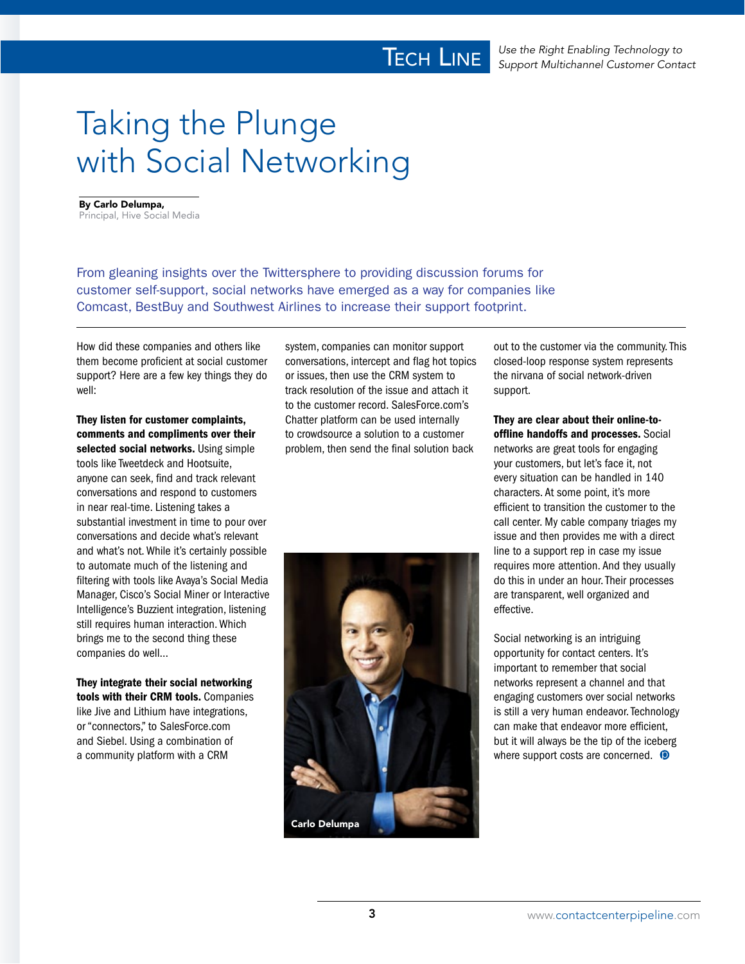# Taking the Plunge with Social Networking

By Carlo Delumpa, Principal, Hive Social Media

From gleaning insights over the Twittersphere to providing discussion forums for customer self-support, social networks have emerged as a way for companies like Comcast, BestBuy and Southwest Airlines to increase their support footprint.

How did these companies and others like them become proficient at social customer support? Here are a few key things they do well:

They listen for customer complaints, comments and compliments over their selected social networks. Using simple tools like Tweetdeck and Hootsuite, anyone can seek, find and track relevant conversations and respond to customers in near real-time. Listening takes a substantial investment in time to pour over conversations and decide what's relevant and what's not. While it's certainly possible to automate much of the listening and filtering with tools like Avaya's Social Media Manager, Cisco's Social Miner or Interactive Intelligence's Buzzient integration, listening still requires human interaction. Which brings me to the second thing these companies do well…

They integrate their social networking tools with their CRM tools. Companies like Jive and Lithium have integrations, or "connectors," to SalesForce.com and Siebel. Using a combination of a community platform with a CRM

system, companies can monitor support conversations, intercept and flag hot topics or issues, then use the CRM system to track resolution of the issue and attach it to the customer record. SalesForce.com's Chatter platform can be used internally to crowdsource a solution to a customer problem, then send the final solution back



out to the customer via the community. This closed-loop response system represents the nirvana of social network-driven support.

They are clear about their online-tooffline handoffs and processes. Social networks are great tools for engaging your customers, but let's face it, not every situation can be handled in 140 characters. At some point, it's more efficient to transition the customer to the call center. My cable company triages my issue and then provides me with a direct line to a support rep in case my issue requires more attention. And they usually do this in under an hour. Their processes are transparent, well organized and effective.

Social networking is an intriguing opportunity for contact centers. It's important to remember that social networks represent a channel and that engaging customers over social networks is still a very human endeavor. Technology can make that endeavor more efficient, but it will always be the tip of the iceberg where support costs are concerned.  $\bullet$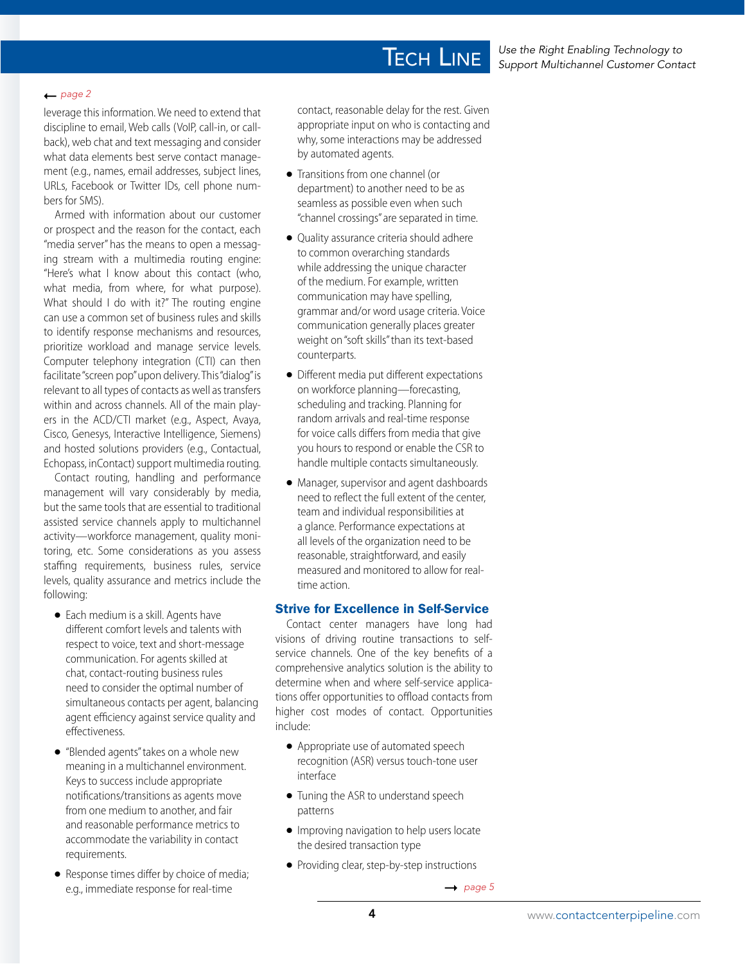#### $\rightharpoonup$  *page 2*

leverage this information. We need to extend that discipline to email, Web calls (VoIP, call-in, or callback), web chat and text messaging and consider what data elements best serve contact management (e.g., names, email addresses, subject lines, URLs, Facebook or Twitter IDs, cell phone numbers for SMS).

Armed with information about our customer or prospect and the reason for the contact, each "media server" has the means to open a messaging stream with a multimedia routing engine: "Here's what I know about this contact (who, what media, from where, for what purpose). What should I do with it?" The routing engine can use a common set of business rules and skills to identify response mechanisms and resources, prioritize workload and manage service levels. Computer telephony integration (CTI) can then facilitate "screen pop" upon delivery. This "dialog" is relevant to all types of contacts as well as transfers within and across channels. All of the main players in the ACD/CTI market (e.g., Aspect, Avaya, Cisco, Genesys, Interactive Intelligence, Siemens) and hosted solutions providers (e.g., Contactual, Echopass, inContact) support multimedia routing.

Contact routing, handling and performance management will vary considerably by media, but the same tools that are essential to traditional assisted service channels apply to multichannel activity—workforce management, quality monitoring, etc. Some considerations as you assess staffing requirements, business rules, service levels, quality assurance and metrics include the following:

- Each medium is a skill. Agents have different comfort levels and talents with respect to voice, text and short-message communication. For agents skilled at chat, contact-routing business rules need to consider the optimal number of simultaneous contacts per agent, balancing agent efficiency against service quality and effectiveness.
- "Blended agents" takes on a whole new meaning in a multichannel environment. Keys to success include appropriate notifications/transitions as agents move from one medium to another, and fair and reasonable performance metrics to accommodate the variability in contact requirements.
- Response times differ by choice of media; e.g., immediate response for real-time

contact, reasonable delay for the rest. Given appropriate input on who is contacting and why, some interactions may be addressed by automated agents.

**TECH LINE** 

- Transitions from one channel (or department) to another need to be as seamless as possible even when such "channel crossings" are separated in time.
- Quality assurance criteria should adhere to common overarching standards while addressing the unique character of the medium. For example, written communication may have spelling, grammar and/or word usage criteria. Voice communication generally places greater weight on "soft skills" than its text-based counterparts.
- Different media put different expectations on workforce planning—forecasting, scheduling and tracking. Planning for random arrivals and real-time response for voice calls differs from media that give you hours to respond or enable the CSR to handle multiple contacts simultaneously.
- Manager, supervisor and agent dashboards need to reflect the full extent of the center, team and individual responsibilities at a glance. Performance expectations at all levels of the organization need to be reasonable, straightforward, and easily measured and monitored to allow for realtime action.

## Strive for Excellence in Self-Service

Contact center managers have long had visions of driving routine transactions to selfservice channels. One of the key benefits of a comprehensive analytics solution is the ability to determine when and where self-service applications offer opportunities to offload contacts from higher cost modes of contact. Opportunities include:

- Appropriate use of automated speech recognition (ASR) versus touch-tone user interface
- Tuning the ASR to understand speech patterns
- Improving navigation to help users locate the desired transaction type
- Providing clear, step-by-step instructions

 $\rightarrow$  page 5